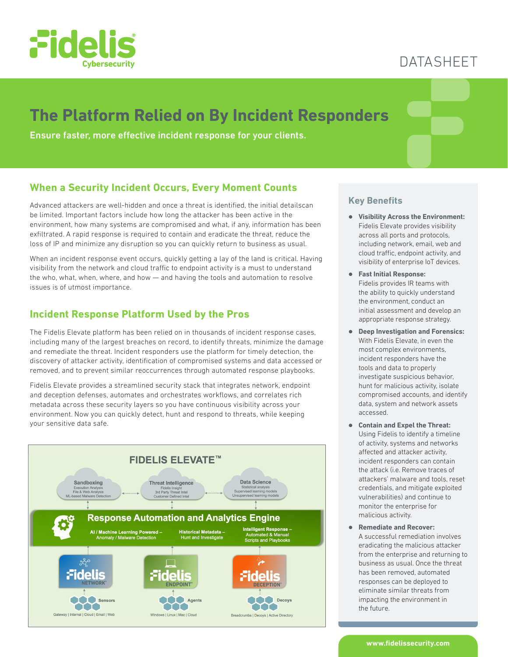

## DATASHEET

# **The Platform Relied on By Incident Responders**

Ensure faster, more effective incident response for your clients.

## **When a Security Incident Occurs, Every Moment Counts**

Advanced attackers are well-hidden and once a threat is identified, the initial detailscan be limited. Important factors include how long the attacker has been active in the environment, how many systems are compromised and what, if any, information has been exfiltrated. A rapid response is required to contain and eradicate the threat, reduce the loss of IP and minimize any disruption so you can quickly return to business as usual.

When an incident response event occurs, quickly getting a lay of the land is critical. Having visibility from the network and cloud traffic to endpoint activity is a must to understand the who, what, when, where, and how — and having the tools and automation to resolve issues is of utmost importance.

## **Incident Response Platform Used by the Pros**

The Fidelis Elevate platform has been relied on in thousands of incident response cases, including many of the largest breaches on record, to identify threats, minimize the damage and remediate the threat. Incident responders use the platform for timely detection, the discovery of attacker activity, identification of compromised systems and data accessed or removed, and to prevent similar reoccurrences through automated response playbooks.

Fidelis Elevate provides a streamlined security stack that integrates network, endpoint and deception defenses, automates and orchestrates workflows, and correlates rich metadata across these security layers so you have continuous visibility across your environment. Now you can quickly detect, hunt and respond to threats, while keeping your sensitive data safe.



### **Key Benefits**

- z **Visibility Across the Environment:**  Fidelis Elevate provides visibility across all ports and protocols, including network, email, web and cloud traffic, endpoint activity, and visibility of enterprise IoT devices.
- z **Fast Initial Response:**  Fidelis provides IR teams with the ability to quickly understand the environment, conduct an initial assessment and develop an appropriate response strategy.
- **Deep Investigation and Forensics:** With Fidelis Elevate, in even the most complex environments, incident responders have the tools and data to properly investigate suspicious behavior, hunt for malicious activity, isolate compromised accounts, and identify data, system and network assets accessed.
- **Contain and Expel the Threat:** Using Fidelis to identify a timeline of activity, systems and networks affected and attacker activity, incident responders can contain the attack (i.e. Remove traces of attackers' malware and tools, reset credentials, and mitigate exploited vulnerabilities) and continue to monitor the enterprise for malicious activity.
- z **Remediate and Recover:**  A successful remediation involves eradicating the malicious attacker from the enterprise and returning to business as usual. Once the threat has been removed, automated responses can be deployed to eliminate similar threats from impacting the environment in the future.